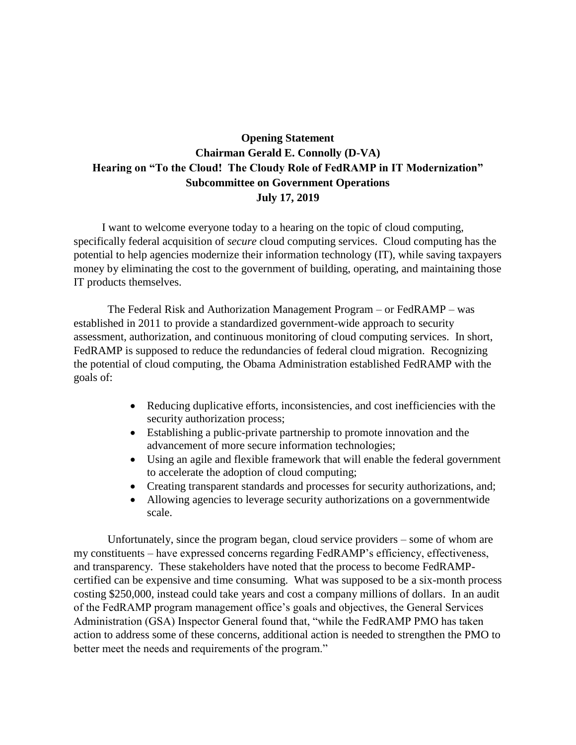## **Opening Statement Chairman Gerald E. Connolly (D-VA) Hearing on "To the Cloud! The Cloudy Role of FedRAMP in IT Modernization" Subcommittee on Government Operations July 17, 2019**

 I want to welcome everyone today to a hearing on the topic of cloud computing, specifically federal acquisition of *secure* cloud computing services. Cloud computing has the potential to help agencies modernize their information technology (IT), while saving taxpayers money by eliminating the cost to the government of building, operating, and maintaining those IT products themselves.

The Federal Risk and Authorization Management Program – or FedRAMP – was established in 2011 to provide a standardized government-wide approach to security assessment, authorization, and continuous monitoring of cloud computing services. In short, FedRAMP is supposed to reduce the redundancies of federal cloud migration. Recognizing the potential of cloud computing, the Obama Administration established FedRAMP with the goals of:

- Reducing duplicative efforts, inconsistencies, and cost inefficiencies with the security authorization process;
- Establishing a public-private partnership to promote innovation and the advancement of more secure information technologies;
- Using an agile and flexible framework that will enable the federal government to accelerate the adoption of cloud computing;
- Creating transparent standards and processes for security authorizations, and;
- Allowing agencies to leverage security authorizations on a governmentwide scale.

Unfortunately, since the program began, cloud service providers – some of whom are my constituents – have expressed concerns regarding FedRAMP's efficiency, effectiveness, and transparency. These stakeholders have noted that the process to become FedRAMPcertified can be expensive and time consuming. What was supposed to be a six-month process costing \$250,000, instead could take years and cost a company millions of dollars. In an audit of the FedRAMP program management office's goals and objectives, the General Services Administration (GSA) Inspector General found that, "while the FedRAMP PMO has taken action to address some of these concerns, additional action is needed to strengthen the PMO to better meet the needs and requirements of the program."